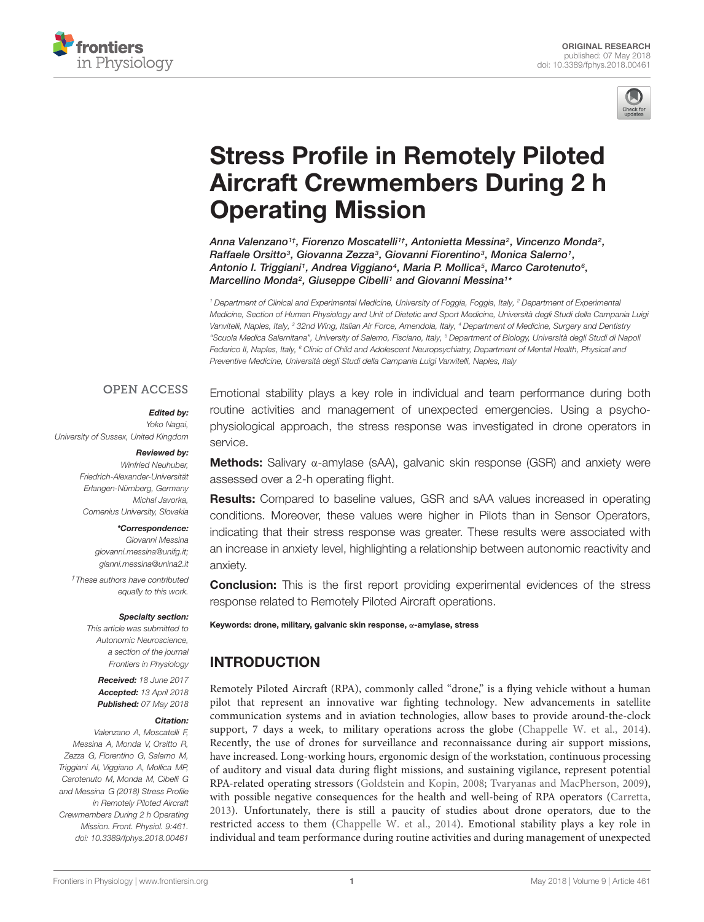



# Stress Profile in Remotely Piloted [Aircraft Crewmembers During 2 h](https://www.frontiersin.org/articles/10.3389/fphys.2018.00461/full) Operating Mission

[Anna Valenzano](http://loop.frontiersin.org/people/524467/overview)1†, [Fiorenzo Moscatelli](http://loop.frontiersin.org/people/502894/overview)1†, Antonietta Messina², [Vincenzo Monda](http://loop.frontiersin.org/people/181233/overview)², Raffaele Orsitto<sup>3</sup>, Giovanna Zezza<sup>3</sup>, Giovanni Fiorentino<sup>3</sup>, Monica Salerno<sup>1</sup>, [Antonio I. Triggiani](http://loop.frontiersin.org/people/211499/overview)1, Andrea Viggiano<sup>4</sup>, Maria P. Mollica<sup>5</sup>, [Marco Carotenuto](http://loop.frontiersin.org/people/245404/overview)<sup>6</sup>, Marcellino Monda<sup>2</sup>, [Giuseppe Cibelli](http://loop.frontiersin.org/people/542028/overview)<sup>1</sup> and [Giovanni Messina](http://loop.frontiersin.org/people/168807/overview)<sup>1\*</sup>

<sup>1</sup> Department of Clinical and Experimental Medicine, University of Foggia, Foggia, Italy, <sup>2</sup> Department of Experimental Medicine, Section of Human Physiology and Unit of Dietetic and Sport Medicine, Università degli Studi della Campania Luigi Vanvitelli, Naples, Italy, <sup>3</sup> 32nd Wing, Italian Air Force, Amendola, Italy, <sup>4</sup> Department of Medicine, Surgery and Dentistry "Scuola Medica Salernitana", University of Salerno, Fisciano, Italy, <sup>5</sup> Department of Biology, Università degli Studi di Napoli Federico II, Naples, Italy, <sup>6</sup> Clinic of Child and Adolescent Neuropsychiatry, Department of Mental Health, Physical and Preventive Medicine, Università degli Studi della Campania Luigi Vanvitelli, Naples, Italy

## **OPEN ACCESS**

### Edited by:

Yoko Nagai, University of Sussex, United Kingdom

#### Reviewed by:

Winfried Neuhuber, Friedrich-Alexander-Universität Erlangen-Nürnberg, Germany Michal Javorka, Comenius University, Slovakia

#### \*Correspondence:

Giovanni Messina giovanni.messina@unifg.it; gianni.messina@unina2.it

†These authors have contributed equally to this work.

#### Specialty section:

This article was submitted to Autonomic Neuroscience, a section of the journal Frontiers in Physiology

Received: 18 June 2017 Accepted: 13 April 2018 Published: 07 May 2018

#### Citation:

Valenzano A, Moscatelli F, Messina A, Monda V, Orsitto R, Zezza G, Fiorentino G, Salerno M, Triggiani AI, Viggiano A, Mollica MP, Carotenuto M, Monda M, Cibelli G and Messina G (2018) Stress Profile in Remotely Piloted Aircraft Crewmembers During 2 h Operating Mission. Front. Physiol. 9:461. doi: [10.3389/fphys.2018.00461](https://doi.org/10.3389/fphys.2018.00461)

Emotional stability plays a key role in individual and team performance during both routine activities and management of unexpected emergencies. Using a psychophysiological approach, the stress response was investigated in drone operators in service.

Methods: Salivary α-amylase (sAA), galvanic skin response (GSR) and anxiety were assessed over a 2-h operating flight.

**Results:** Compared to baseline values, GSR and sAA values increased in operating conditions. Moreover, these values were higher in Pilots than in Sensor Operators, indicating that their stress response was greater. These results were associated with an increase in anxiety level, highlighting a relationship between autonomic reactivity and anxiety.

**Conclusion:** This is the first report providing experimental evidences of the stress response related to Remotely Piloted Aircraft operations.

#### Keywords: drone, military, galvanic skin response, α-amylase, stress

# INTRODUCTION

Remotely Piloted Aircraft (RPA), commonly called "drone," is a flying vehicle without a human pilot that represent an innovative war fighting technology. New advancements in satellite communication systems and in aviation technologies, allow bases to provide around-the-clock support, 7 days a week, to military operations across the globe [\(Chappelle W. et al.,](#page-4-0) [2014\)](#page-4-0). Recently, the use of drones for surveillance and reconnaissance during air support missions, have increased. Long-working hours, ergonomic design of the workstation, continuous processing of auditory and visual data during flight missions, and sustaining vigilance, represent potential RPA-related operating stressors [\(Goldstein and Kopin,](#page-4-1) [2008;](#page-4-1) [Tvaryanas and MacPherson,](#page-5-0) [2009\)](#page-5-0), with possible negative consequences for the health and well-being of RPA operators [\(Carretta,](#page-4-2) [2013\)](#page-4-2). Unfortunately, there is still a paucity of studies about drone operators, due to the restricted access to them [\(Chappelle W. et al.,](#page-4-0) [2014\)](#page-4-0). Emotional stability plays a key role in individual and team performance during routine activities and during management of unexpected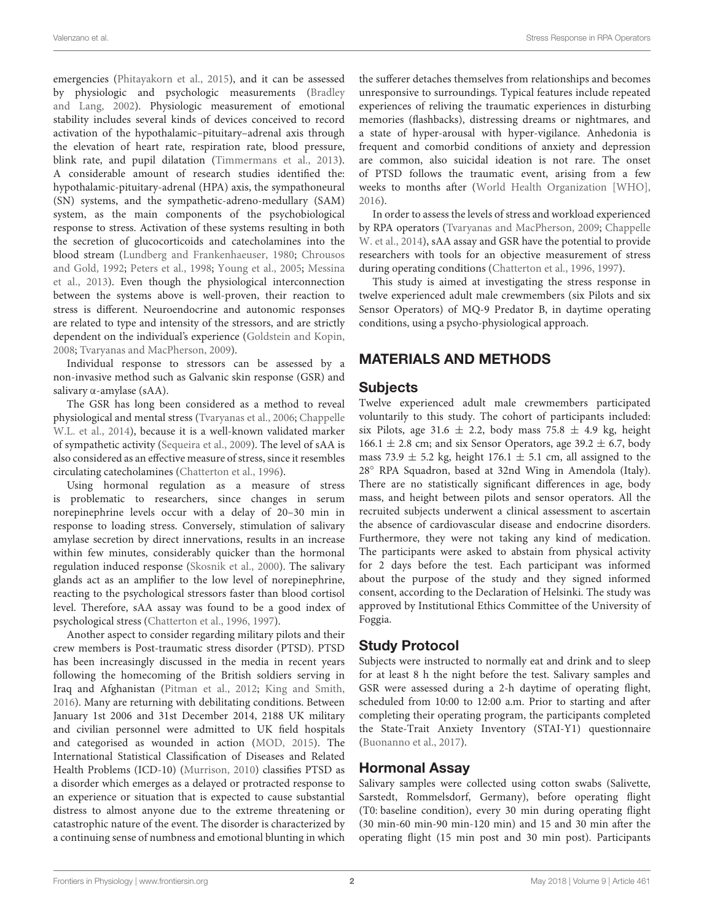emergencies [\(Phitayakorn et al.,](#page-5-1) [2015\)](#page-5-1), and it can be assessed by physiologic and psychologic measurements [\(Bradley](#page-4-3) [and Lang,](#page-4-3) [2002\)](#page-4-3). Physiologic measurement of emotional stability includes several kinds of devices conceived to record activation of the hypothalamic–pituitary–adrenal axis through the elevation of heart rate, respiration rate, blood pressure, blink rate, and pupil dilatation [\(Timmermans et al.,](#page-5-2) [2013\)](#page-5-2). A considerable amount of research studies identified the: hypothalamic-pituitary-adrenal (HPA) axis, the sympathoneural (SN) systems, and the sympathetic-adreno-medullary (SAM) system, as the main components of the psychobiological response to stress. Activation of these systems resulting in both the secretion of glucocorticoids and catecholamines into the blood stream [\(Lundberg and Frankenhaeuser,](#page-5-3) [1980;](#page-5-3) [Chrousos](#page-4-4) [and Gold,](#page-4-4) [1992;](#page-4-4) [Peters et al.,](#page-5-4) [1998;](#page-5-4) [Young et al.,](#page-5-5) [2005;](#page-5-5) [Messina](#page-5-6) [et al.,](#page-5-6) [2013\)](#page-5-6). Even though the physiological interconnection between the systems above is well-proven, their reaction to stress is different. Neuroendocrine and autonomic responses are related to type and intensity of the stressors, and are strictly dependent on the individual's experience [\(Goldstein and Kopin,](#page-4-1) [2008;](#page-4-1) [Tvaryanas and MacPherson,](#page-5-0) [2009\)](#page-5-0).

Individual response to stressors can be assessed by a non-invasive method such as Galvanic skin response (GSR) and salivary α-amylase (sAA).

The GSR has long been considered as a method to reveal physiological and mental stress [\(Tvaryanas et al.,](#page-5-7) [2006;](#page-5-7) [Chappelle](#page-4-5) [W.L. et al.,](#page-4-5) [2014\)](#page-4-5), because it is a well-known validated marker of sympathetic activity [\(Sequeira et al.,](#page-5-8) [2009\)](#page-5-8). The level of sAA is also considered as an effective measure of stress, since it resembles circulating catecholamines [\(Chatterton et al.,](#page-4-6) [1996\)](#page-4-6).

Using hormonal regulation as a measure of stress is problematic to researchers, since changes in serum norepinephrine levels occur with a delay of 20–30 min in response to loading stress. Conversely, stimulation of salivary amylase secretion by direct innervations, results in an increase within few minutes, considerably quicker than the hormonal regulation induced response [\(Skosnik et al.,](#page-5-9) [2000\)](#page-5-9). The salivary glands act as an amplifier to the low level of norepinephrine, reacting to the psychological stressors faster than blood cortisol level. Therefore, sAA assay was found to be a good index of psychological stress [\(Chatterton et al.,](#page-4-6) [1996,](#page-4-6) [1997\)](#page-4-7).

Another aspect to consider regarding military pilots and their crew members is Post-traumatic stress disorder (PTSD). PTSD has been increasingly discussed in the media in recent years following the homecoming of the British soldiers serving in Iraq and Afghanistan [\(Pitman et al.,](#page-5-10) [2012;](#page-5-10) [King and Smith,](#page-5-11) [2016\)](#page-5-11). Many are returning with debilitating conditions. Between January 1st 2006 and 31st December 2014, 2188 UK military and civilian personnel were admitted to UK field hospitals and categorised as wounded in action [\(MOD,](#page-5-12) [2015\)](#page-5-12). The International Statistical Classification of Diseases and Related Health Problems (ICD-10) [\(Murrison,](#page-5-13) [2010\)](#page-5-13) classifies PTSD as a disorder which emerges as a delayed or protracted response to an experience or situation that is expected to cause substantial distress to almost anyone due to the extreme threatening or catastrophic nature of the event. The disorder is characterized by a continuing sense of numbness and emotional blunting in which

the sufferer detaches themselves from relationships and becomes unresponsive to surroundings. Typical features include repeated experiences of reliving the traumatic experiences in disturbing memories (flashbacks), distressing dreams or nightmares, and a state of hyper-arousal with hyper-vigilance. Anhedonia is frequent and comorbid conditions of anxiety and depression are common, also suicidal ideation is not rare. The onset of PTSD follows the traumatic event, arising from a few weeks to months after [\(World Health Organization \[WHO\],](#page-5-14) [2016\)](#page-5-14).

In order to assess the levels of stress and workload experienced by RPA operators [\(Tvaryanas and MacPherson,](#page-5-0) [2009;](#page-5-0) [Chappelle](#page-4-0) [W. et al.,](#page-4-0) [2014\)](#page-4-0), sAA assay and GSR have the potential to provide researchers with tools for an objective measurement of stress during operating conditions [\(Chatterton et al.,](#page-4-6) [1996,](#page-4-6) [1997\)](#page-4-7).

This study is aimed at investigating the stress response in twelve experienced adult male crewmembers (six Pilots and six Sensor Operators) of MQ-9 Predator B, in daytime operating conditions, using a psycho-physiological approach.

## MATERIALS AND METHODS

## **Subjects**

Twelve experienced adult male crewmembers participated voluntarily to this study. The cohort of participants included: six Pilots, age 31.6  $\pm$  2.2, body mass 75.8  $\pm$  4.9 kg, height 166.1  $\pm$  2.8 cm; and six Sensor Operators, age 39.2  $\pm$  6.7, body mass 73.9  $\pm$  5.2 kg, height 176.1  $\pm$  5.1 cm, all assigned to the 28◦ RPA Squadron, based at 32nd Wing in Amendola (Italy). There are no statistically significant differences in age, body mass, and height between pilots and sensor operators. All the recruited subjects underwent a clinical assessment to ascertain the absence of cardiovascular disease and endocrine disorders. Furthermore, they were not taking any kind of medication. The participants were asked to abstain from physical activity for 2 days before the test. Each participant was informed about the purpose of the study and they signed informed consent, according to the Declaration of Helsinki. The study was approved by Institutional Ethics Committee of the University of Foggia.

# Study Protocol

Subjects were instructed to normally eat and drink and to sleep for at least 8 h the night before the test. Salivary samples and GSR were assessed during a 2-h daytime of operating flight, scheduled from 10:00 to 12:00 a.m. Prior to starting and after completing their operating program, the participants completed the State-Trait Anxiety Inventory (STAI-Y1) questionnaire [\(Buonanno et al.,](#page-4-8) [2017\)](#page-4-8).

## Hormonal Assay

Salivary samples were collected using cotton swabs (Salivette, Sarstedt, Rommelsdorf, Germany), before operating flight (T0: baseline condition), every 30 min during operating flight (30 min-60 min-90 min-120 min) and 15 and 30 min after the operating flight (15 min post and 30 min post). Participants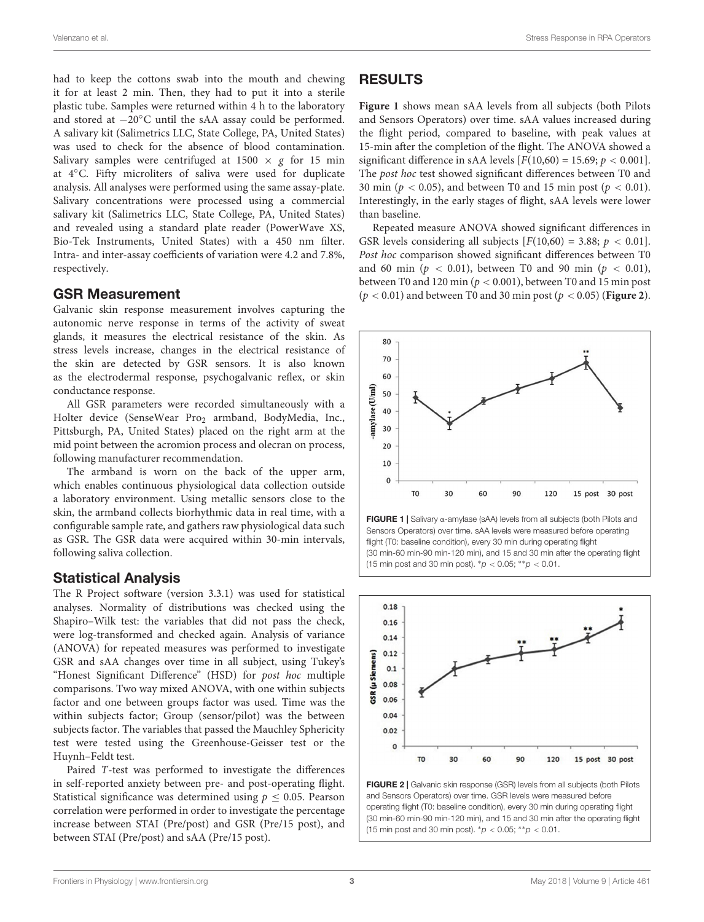had to keep the cottons swab into the mouth and chewing it for at least 2 min. Then, they had to put it into a sterile plastic tube. Samples were returned within 4 h to the laboratory and stored at −20◦C until the sAA assay could be performed. A salivary kit (Salimetrics LLC, State College, PA, United States) was used to check for the absence of blood contamination. Salivary samples were centrifuged at 1500  $\times$  g for 15 min at 4◦C. Fifty microliters of saliva were used for duplicate analysis. All analyses were performed using the same assay-plate. Salivary concentrations were processed using a commercial salivary kit (Salimetrics LLC, State College, PA, United States) and revealed using a standard plate reader (PowerWave XS, Bio-Tek Instruments, United States) with a 450 nm filter. Intra- and inter-assay coefficients of variation were 4.2 and 7.8%, respectively.

## GSR Measurement

Galvanic skin response measurement involves capturing the autonomic nerve response in terms of the activity of sweat glands, it measures the electrical resistance of the skin. As stress levels increase, changes in the electrical resistance of the skin are detected by GSR sensors. It is also known as the electrodermal response, psychogalvanic reflex, or skin conductance response.

All GSR parameters were recorded simultaneously with a Holter device (SenseWear Pro<sub>2</sub> armband, BodyMedia, Inc., Pittsburgh, PA, United States) placed on the right arm at the mid point between the acromion process and olecran on process, following manufacturer recommendation.

The armband is worn on the back of the upper arm, which enables continuous physiological data collection outside a laboratory environment. Using metallic sensors close to the skin, the armband collects biorhythmic data in real time, with a configurable sample rate, and gathers raw physiological data such as GSR. The GSR data were acquired within 30-min intervals, following saliva collection.

## Statistical Analysis

The R Project software (version 3.3.1) was used for statistical analyses. Normality of distributions was checked using the Shapiro–Wilk test: the variables that did not pass the check, were log-transformed and checked again. Analysis of variance (ANOVA) for repeated measures was performed to investigate GSR and sAA changes over time in all subject, using Tukey's "Honest Significant Difference" (HSD) for post hoc multiple comparisons. Two way mixed ANOVA, with one within subjects factor and one between groups factor was used. Time was the within subjects factor; Group (sensor/pilot) was the between subjects factor. The variables that passed the Mauchley Sphericity test were tested using the Greenhouse-Geisser test or the Huynh–Feldt test.

Paired T-test was performed to investigate the differences in self-reported anxiety between pre- and post-operating flight. Statistical significance was determined using  $p \leq 0.05$ . Pearson correlation were performed in order to investigate the percentage increase between STAI (Pre/post) and GSR (Pre/15 post), and between STAI (Pre/post) and sAA (Pre/15 post).

# RESULTS

**[Figure 1](#page-2-0)** shows mean sAA levels from all subjects (both Pilots and Sensors Operators) over time. sAA values increased during the flight period, compared to baseline, with peak values at 15-min after the completion of the flight. The ANOVA showed a significant difference in sAA levels  $[F(10,60) = 15.69; p < 0.001]$ . The post hoc test showed significant differences between T0 and 30 min ( $p < 0.05$ ), and between T0 and 15 min post ( $p < 0.01$ ). Interestingly, in the early stages of flight, sAA levels were lower than baseline.

Repeated measure ANOVA showed significant differences in GSR levels considering all subjects  $[F(10,60) = 3.88; p < 0.01]$ . Post hoc comparison showed significant differences between T0 and 60 min ( $p < 0.01$ ), between T0 and 90 min ( $p < 0.01$ ), between T0 and 120 min ( $p < 0.001$ ), between T0 and 15 min post (p < 0.01) and between T0 and 30 min post (p < 0.05) (**[Figure 2](#page-2-1)**).



<span id="page-2-0"></span>FIGURE 1 | Salivary α-amylase (sAA) levels from all subjects (both Pilots and Sensors Operators) over time. sAA levels were measured before operating flight (T0: baseline condition), every 30 min during operating flight (30 min-60 min-90 min-120 min), and 15 and 30 min after the operating flight (15 min post and 30 min post).  ${}^*p$  < 0.05;  ${}^{**}p$  < 0.01.



<span id="page-2-1"></span>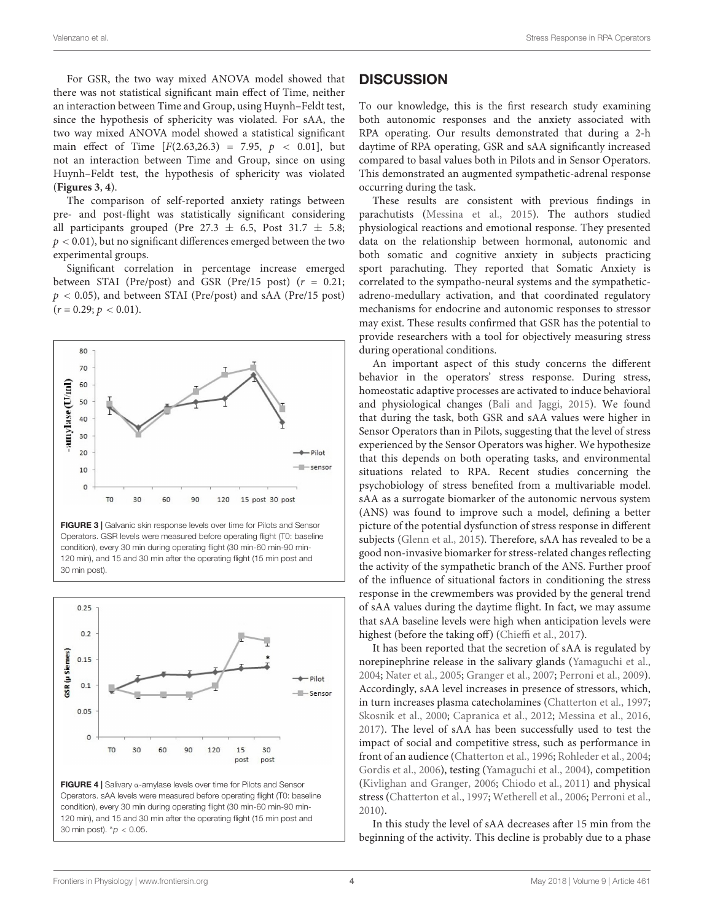For GSR, the two way mixed ANOVA model showed that there was not statistical significant main effect of Time, neither an interaction between Time and Group, using Huynh–Feldt test, since the hypothesis of sphericity was violated. For sAA, the two way mixed ANOVA model showed a statistical significant main effect of Time  $[F(2.63, 26.3) = 7.95, p < 0.01]$ , but not an interaction between Time and Group, since on using Huynh–Feldt test, the hypothesis of sphericity was violated (**[Figures 3](#page-3-0)**, **[4](#page-3-1)**).

The comparison of self-reported anxiety ratings between pre- and post-flight was statistically significant considering all participants grouped (Pre 27.3  $\pm$  6.5, Post 31.7  $\pm$  5.8;  $p < 0.01$ ), but no significant differences emerged between the two experimental groups.

Significant correlation in percentage increase emerged between STAI (Pre/post) and GSR (Pre/15 post) ( $r = 0.21$ ;  $p < 0.05$ ), and between STAI (Pre/post) and sAA (Pre/15 post)  $(r = 0.29; p < 0.01).$ 



<span id="page-3-0"></span>FIGURE 3 | Galvanic skin response levels over time for Pilots and Sensor Operators. GSR levels were measured before operating flight (T0: baseline condition), every 30 min during operating flight (30 min-60 min-90 min-120 min), and 15 and 30 min after the operating flight (15 min post and 30 min post).



<span id="page-3-1"></span>Operators. sAA levels were measured before operating flight (T0: baseline condition), every 30 min during operating flight (30 min-60 min-90 min-120 min), and 15 and 30 min after the operating flight (15 min post and 30 min post).  ${}^*\rho$  < 0.05.

## **DISCUSSION**

To our knowledge, this is the first research study examining both autonomic responses and the anxiety associated with RPA operating. Our results demonstrated that during a 2-h daytime of RPA operating, GSR and sAA significantly increased compared to basal values both in Pilots and in Sensor Operators. This demonstrated an augmented sympathetic-adrenal response occurring during the task.

These results are consistent with previous findings in parachutists [\(Messina et al.,](#page-5-15) [2015\)](#page-5-15). The authors studied physiological reactions and emotional response. They presented data on the relationship between hormonal, autonomic and both somatic and cognitive anxiety in subjects practicing sport parachuting. They reported that Somatic Anxiety is correlated to the sympatho-neural systems and the sympatheticadreno-medullary activation, and that coordinated regulatory mechanisms for endocrine and autonomic responses to stressor may exist. These results confirmed that GSR has the potential to provide researchers with a tool for objectively measuring stress during operational conditions.

An important aspect of this study concerns the different behavior in the operators' stress response. During stress, homeostatic adaptive processes are activated to induce behavioral and physiological changes [\(Bali and Jaggi,](#page-4-9) [2015\)](#page-4-9). We found that during the task, both GSR and sAA values were higher in Sensor Operators than in Pilots, suggesting that the level of stress experienced by the Sensor Operators was higher. We hypothesize that this depends on both operating tasks, and environmental situations related to RPA. Recent studies concerning the psychobiology of stress benefited from a multivariable model. sAA as a surrogate biomarker of the autonomic nervous system (ANS) was found to improve such a model, defining a better picture of the potential dysfunction of stress response in different subjects [\(Glenn et al.,](#page-4-10) [2015\)](#page-4-10). Therefore, sAA has revealed to be a good non-invasive biomarker for stress-related changes reflecting the activity of the sympathetic branch of the ANS. Further proof of the influence of situational factors in conditioning the stress response in the crewmembers was provided by the general trend of sAA values during the daytime flight. In fact, we may assume that sAA baseline levels were high when anticipation levels were highest (before the taking off) [\(Chieffi et al.,](#page-4-11) [2017\)](#page-4-11).

It has been reported that the secretion of sAA is regulated by norepinephrine release in the salivary glands [\(Yamaguchi et al.,](#page-5-16) [2004;](#page-5-16) [Nater et al.,](#page-5-17) [2005;](#page-5-17) [Granger et al.,](#page-4-12) [2007;](#page-4-12) [Perroni et al.,](#page-5-18) [2009\)](#page-5-18). Accordingly, sAA level increases in presence of stressors, which, in turn increases plasma catecholamines [\(Chatterton et al.,](#page-4-7) [1997;](#page-4-7) [Skosnik et al.,](#page-5-9) [2000;](#page-5-9) [Capranica et al.,](#page-4-13) [2012;](#page-4-13) [Messina et al.,](#page-5-19) [2016,](#page-5-19) [2017\)](#page-5-20). The level of sAA has been successfully used to test the impact of social and competitive stress, such as performance in front of an audience [\(Chatterton et al.,](#page-4-6) [1996;](#page-4-6) [Rohleder et al.,](#page-5-21) [2004;](#page-5-21) [Gordis et al.,](#page-4-14) [2006\)](#page-4-14), testing [\(Yamaguchi et al.,](#page-5-16) [2004\)](#page-5-16), competition [\(Kivlighan and Granger,](#page-5-22) [2006;](#page-5-22) [Chiodo et al.,](#page-4-15) [2011\)](#page-4-15) and physical stress [\(Chatterton et al.,](#page-4-7) [1997;](#page-4-7) [Wetherell et al.,](#page-5-23) [2006;](#page-5-23) [Perroni et al.,](#page-5-24) [2010\)](#page-5-24).

In this study the level of sAA decreases after 15 min from the beginning of the activity. This decline is probably due to a phase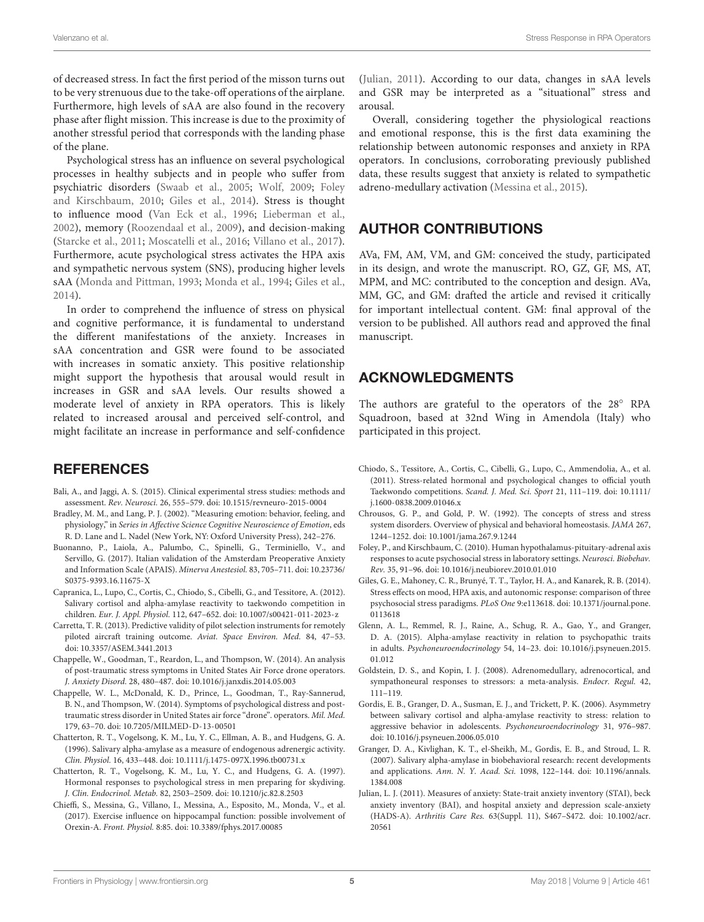of decreased stress. In fact the first period of the misson turns out to be very strenuous due to the take-off operations of the airplane. Furthermore, high levels of sAA are also found in the recovery phase after flight mission. This increase is due to the proximity of another stressful period that corresponds with the landing phase of the plane.

Psychological stress has an influence on several psychological processes in healthy subjects and in people who suffer from psychiatric disorders [\(Swaab et al.,](#page-5-25) [2005;](#page-5-25) [Wolf,](#page-5-26) [2009;](#page-5-26) [Foley](#page-4-16) [and Kirschbaum,](#page-4-16) [2010;](#page-4-16) [Giles et al.,](#page-4-17) [2014\)](#page-4-17). Stress is thought to influence mood [\(Van Eck et al.,](#page-5-27) [1996;](#page-5-27) [Lieberman et al.,](#page-5-28) [2002\)](#page-5-28), memory [\(Roozendaal et al.,](#page-5-29) [2009\)](#page-5-29), and decision-making [\(Starcke et al.,](#page-5-30) [2011;](#page-5-30) [Moscatelli et al.,](#page-5-31) [2016;](#page-5-31) [Villano et al.,](#page-5-32) [2017\)](#page-5-32). Furthermore, acute psychological stress activates the HPA axis and sympathetic nervous system (SNS), producing higher levels sAA [\(Monda and Pittman,](#page-5-33) [1993;](#page-5-33) [Monda et al.,](#page-5-34) [1994;](#page-5-34) [Giles et al.,](#page-4-17) [2014\)](#page-4-17).

In order to comprehend the influence of stress on physical and cognitive performance, it is fundamental to understand the different manifestations of the anxiety. Increases in sAA concentration and GSR were found to be associated with increases in somatic anxiety. This positive relationship might support the hypothesis that arousal would result in increases in GSR and sAA levels. Our results showed a moderate level of anxiety in RPA operators. This is likely related to increased arousal and perceived self-control, and might facilitate an increase in performance and self-confidence

# **REFERENCES**

- <span id="page-4-9"></span>Bali, A., and Jaggi, A. S. (2015). Clinical experimental stress studies: methods and assessment. Rev. Neurosci. 26, 555–579. [doi: 10.1515/revneuro-2015-0004](https://doi.org/10.1515/revneuro-2015-0004)
- <span id="page-4-3"></span>Bradley, M. M., and Lang, P. J. (2002). "Measuring emotion: behavior, feeling, and physiology," in Series in Affective Science Cognitive Neuroscience of Emotion, eds R. D. Lane and L. Nadel (New York, NY: Oxford University Press), 242–276.
- <span id="page-4-8"></span>Buonanno, P., Laiola, A., Palumbo, C., Spinelli, G., Terminiello, V., and Servillo, G. (2017). Italian validation of the Amsterdam Preoperative Anxiety and Information Scale (APAIS). Minerva Anestesiol. 83, 705–711. [doi: 10.23736/](https://doi.org/10.23736/S0375-9393.16.11675-X) [S0375-9393.16.11675-X](https://doi.org/10.23736/S0375-9393.16.11675-X)
- <span id="page-4-13"></span>Capranica, L., Lupo, C., Cortis, C., Chiodo, S., Cibelli, G., and Tessitore, A. (2012). Salivary cortisol and alpha-amylase reactivity to taekwondo competition in children. Eur. J. Appl. Physiol. 112, 647–652. [doi: 10.1007/s00421-011-2023-z](https://doi.org/10.1007/s00421-011-2023-z)
- <span id="page-4-2"></span>Carretta, T. R. (2013). Predictive validity of pilot selection instruments for remotely piloted aircraft training outcome. Aviat. Space Environ. Med. 84, 47–53. [doi: 10.3357/ASEM.3441.2013](https://doi.org/10.3357/ASEM.3441.2013)
- <span id="page-4-0"></span>Chappelle, W., Goodman, T., Reardon, L., and Thompson, W. (2014). An analysis of post-traumatic stress symptoms in United States Air Force drone operators. J. Anxiety Disord. 28, 480–487. [doi: 10.1016/j.janxdis.2014.05.003](https://doi.org/10.1016/j.janxdis.2014.05.003)
- <span id="page-4-5"></span>Chappelle, W. L., McDonald, K. D., Prince, L., Goodman, T., Ray-Sannerud, B. N., and Thompson, W. (2014). Symptoms of psychological distress and posttraumatic stress disorder in United States air force "drone". operators. Mil. Med. 179, 63–70. [doi: 10.7205/MILMED-D-13-00501](https://doi.org/10.7205/MILMED-D-13-00501)
- <span id="page-4-6"></span>Chatterton, R. T., Vogelsong, K. M., Lu, Y. C., Ellman, A. B., and Hudgens, G. A. (1996). Salivary alpha-amylase as a measure of endogenous adrenergic activity. Clin. Physiol. 16, 433–448. [doi: 10.1111/j.1475-097X.1996.tb00731.x](https://doi.org/10.1111/j.1475-097X.1996.tb00731.x)
- <span id="page-4-7"></span>Chatterton, R. T., Vogelsong, K. M., Lu, Y. C., and Hudgens, G. A. (1997). Hormonal responses to psychological stress in men preparing for skydiving. J. Clin. Endocrinol. Metab. 82, 2503–2509. [doi: 10.1210/jc.82.8.2503](https://doi.org/10.1210/jc.82.8.2503)
- <span id="page-4-11"></span>Chieffi, S., Messina, G., Villano, I., Messina, A., Esposito, M., Monda, V., et al. (2017). Exercise influence on hippocampal function: possible involvement of Orexin-A. Front. Physiol. 8:85. [doi: 10.3389/fphys.2017.00085](https://doi.org/10.3389/fphys.2017.00085)

[\(Julian,](#page-4-18) [2011\)](#page-4-18). According to our data, changes in sAA levels and GSR may be interpreted as a "situational" stress and arousal.

Overall, considering together the physiological reactions and emotional response, this is the first data examining the relationship between autonomic responses and anxiety in RPA operators. In conclusions, corroborating previously published data, these results suggest that anxiety is related to sympathetic adreno-medullary activation [\(Messina et al.,](#page-5-15) [2015\)](#page-5-15).

# AUTHOR CONTRIBUTIONS

AVa, FM, AM, VM, and GM: conceived the study, participated in its design, and wrote the manuscript. RO, GZ, GF, MS, AT, MPM, and MC: contributed to the conception and design. AVa, MM, GC, and GM: drafted the article and revised it critically for important intellectual content. GM: final approval of the version to be published. All authors read and approved the final manuscript.

# ACKNOWLEDGMENTS

The authors are grateful to the operators of the 28° RPA Squadroon, based at 32nd Wing in Amendola (Italy) who participated in this project.

- <span id="page-4-15"></span>Chiodo, S., Tessitore, A., Cortis, C., Cibelli, G., Lupo, C., Ammendolia, A., et al. (2011). Stress-related hormonal and psychological changes to official youth Taekwondo competitions. Scand. J. Med. Sci. Sport 21, 111–119. [doi: 10.1111/](https://doi.org/10.1111/j.1600-0838.2009.01046.x) [j.1600-0838.2009.01046.x](https://doi.org/10.1111/j.1600-0838.2009.01046.x)
- <span id="page-4-4"></span>Chrousos, G. P., and Gold, P. W. (1992). The concepts of stress and stress system disorders. Overview of physical and behavioral homeostasis. JAMA 267, 1244–1252. [doi: 10.1001/jama.267.9.1244](https://doi.org/10.1001/jama.267.9.1244)
- <span id="page-4-16"></span>Foley, P., and Kirschbaum, C. (2010). Human hypothalamus-pituitary-adrenal axis responses to acute psychosocial stress in laboratory settings. Neurosci. Biobehav. Rev. 35, 91–96. [doi: 10.1016/j.neubiorev.2010.01.010](https://doi.org/10.1016/j.neubiorev.2010.01.010)
- <span id="page-4-17"></span>Giles, G. E., Mahoney, C. R., Brunyé, T. T., Taylor, H. A., and Kanarek, R. B. (2014). Stress effects on mood, HPA axis, and autonomic response: comparison of three psychosocial stress paradigms. PLoS One 9:e113618. [doi: 10.1371/journal.pone.](https://doi.org/10.1371/journal.pone.0113618) [0113618](https://doi.org/10.1371/journal.pone.0113618)
- <span id="page-4-10"></span>Glenn, A. L., Remmel, R. J., Raine, A., Schug, R. A., Gao, Y., and Granger, D. A. (2015). Alpha-amylase reactivity in relation to psychopathic traits in adults. Psychoneuroendocrinology 54, 14–23. [doi: 10.1016/j.psyneuen.2015.](https://doi.org/10.1016/j.psyneuen.2015.01.012) [01.012](https://doi.org/10.1016/j.psyneuen.2015.01.012)
- <span id="page-4-1"></span>Goldstein, D. S., and Kopin, I. J. (2008). Adrenomedullary, adrenocortical, and sympathoneural responses to stressors: a meta-analysis. Endocr. Regul. 42, 111–119.
- <span id="page-4-14"></span>Gordis, E. B., Granger, D. A., Susman, E. J., and Trickett, P. K. (2006). Asymmetry between salivary cortisol and alpha-amylase reactivity to stress: relation to aggressive behavior in adolescents. Psychoneuroendocrinology 31, 976–987. [doi: 10.1016/j.psyneuen.2006.05.010](https://doi.org/10.1016/j.psyneuen.2006.05.010)
- <span id="page-4-12"></span>Granger, D. A., Kivlighan, K. T., el-Sheikh, M., Gordis, E. B., and Stroud, L. R. (2007). Salivary alpha-amylase in biobehavioral research: recent developments and applications. Ann. N. Y. Acad. Sci. 1098, 122–144. [doi: 10.1196/annals.](https://doi.org/10.1196/annals.1384.008) [1384.008](https://doi.org/10.1196/annals.1384.008)
- <span id="page-4-18"></span>Julian, L. J. (2011). Measures of anxiety: State-trait anxiety inventory (STAI), beck anxiety inventory (BAI), and hospital anxiety and depression scale-anxiety (HADS-A). Arthritis Care Res. 63(Suppl. 11), S467–S472. [doi: 10.1002/acr.](https://doi.org/10.1002/acr.20561) [20561](https://doi.org/10.1002/acr.20561)